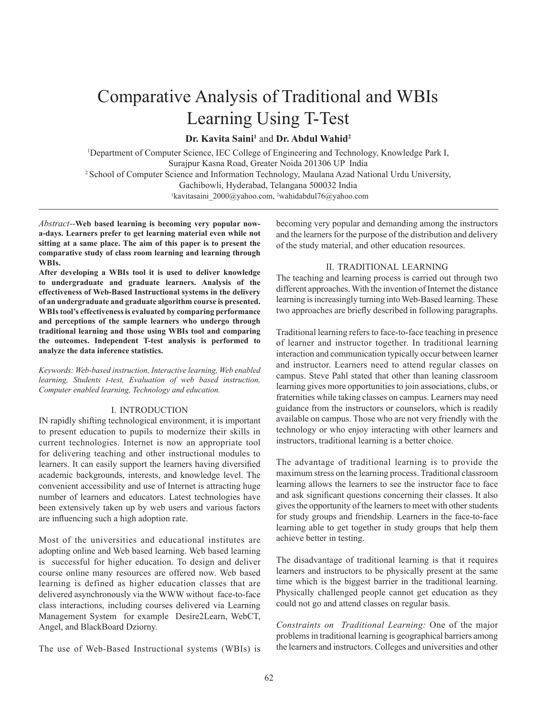# Comparative Analysis of Traditional and WBIs Learning Using T-Test

**Dr. Kavita Saini<sup>1</sup>** and **Dr. Abdul Wahid<sup>2</sup>**

<sup>1</sup>Department of Computer Science, IEC College of Engineering and Technology, Knowledge Park I, Surajpur Kasna Road, Greater Noida 201306 UP India 2 School of Computer Science and Information Technology, Maulana Azad National Urdu University, Gachibowli, Hyderabad, Telangana 500032 India<br>
<sup>1</sup>kavitasaini\_2000@yahoo.com, <sup>2</sup>wahidabdul76@yahoo.com

*Abstract--***Web based learning is becoming very popular nowa-days. Learners prefer to get learning material even while not sitting at a same place. The aim of this paper is to present the comparative study of class room learning and learning through WBIs.** 

**After developing a WBIs tool it is used to deliver knowledge to undergraduate and graduate learners. Analysis of the effectiveness of Web-Based Instructional systems in the delivery of an undergraduate and graduate algorithm course is presented. WBIs tool's effectiveness is evaluated by comparing performance and perceptions of the sample learners who undergo through traditional learning and those using WBIs tool and comparing the outcomes. Independent T-test analysis is performed to analyze the data inference statistics.**

*Keywords: Web-based instruction, Interactive learning, Web enabled learning, Students t-test, Evaluation of web based instruction, Computer enabled learning, Technology and education.*

#### I. INTRODUCTION

IN rapidly shifting technological environment, it is important to present education to pupils to modernize their skills in current technologies. Internet is now an appropriate tool for delivering teaching and other instructional modules to learners. It can easily support the learners having diversified academic backgrounds, interests, and knowledge level. The convenient accessibility and use of Internet is attracting huge number of learners and educators. Latest technologies have been extensively taken up by web users and various factors are influencing such a high adoption rate.

Most of the universities and educational institutes are adopting online and Web based learning. Web based learning is successful for higher education. To design and deliver course online many resources are offered now. Web based learning is defined as higher education classes that are delivered asynchronously via the WWW without face-to-face class interactions, including courses delivered via Learning Management System for example Desire2Learn, WebCT, Angel, and BlackBoard Dziorny.

The use of Web-Based Instructional systems (WBIs) is

becoming very popular and demanding among the instructors and the learners for the purpose of the distribution and delivery of the study material, and other education resources.

#### II. TRADITIONAL LEARNING

The teaching and learning process is carried out through two different approaches. With the invention of Internet the distance learning is increasingly turning into Web-Based learning. These two approaches are briefly described in following paragraphs.

Traditional learning refers to face-to-face teaching in presence of learner and instructor together. In traditional learning interaction and communication typically occur between learner and instructor. Learners need to attend regular classes on campus. Steve Pahl stated that other than leaning classroom learning gives more opportunities to join associations, clubs, or fraternities while taking classes on campus. Learners may need guidance from the instructors or counselors, which is readily available on campus. Those who are not very friendly with the technology or who enjoy interacting with other learners and instructors, traditional learning is a better choice.

The advantage of traditional learning is to provide the maximum stress on the learning process. Traditional classroom learning allows the learners to see the instructor face to face and ask significant questions concerning their classes. It also gives the opportunity of the learners to meet with other students for study groups and friendship. Learners in the face-to-face learning able to get together in study groups that help them achieve better in testing.

The disadvantage of traditional learning is that it requires learners and instructors to be physically present at the same time which is the biggest barrier in the traditional learning. Physically challenged people cannot get education as they could not go and attend classes on regular basis.

*Constraints on Traditional Learning:* One of the major problems in traditional learning is geographical barriers among the learners and instructors. Colleges and universities and other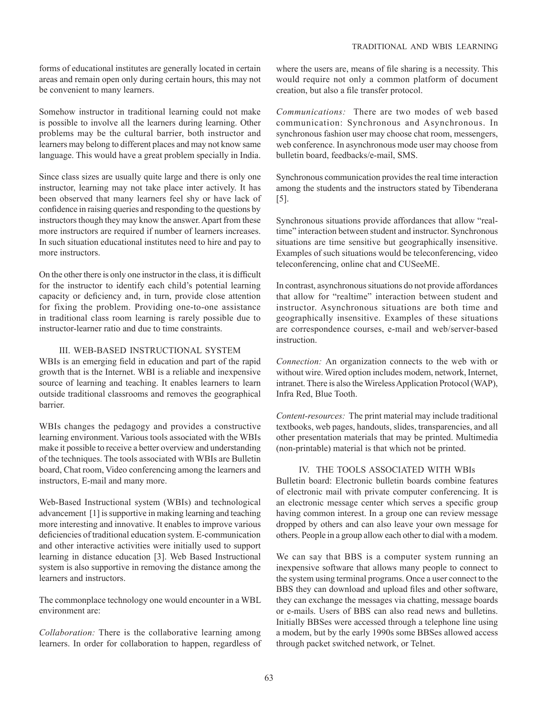forms of educational institutes are generally located in certain areas and remain open only during certain hours, this may not be convenient to many learners.

Somehow instructor in traditional learning could not make is possible to involve all the learners during learning. Other problems may be the cultural barrier, both instructor and learners may belong to different places and may not know same language. This would have a great problem specially in India.

Since class sizes are usually quite large and there is only one instructor, learning may not take place inter actively. It has been observed that many learners feel shy or have lack of confidence in raising queries and responding to the questions by instructors though they may know the answer. Apart from these more instructors are required if number of learners increases. In such situation educational institutes need to hire and pay to more instructors.

On the other there is only one instructor in the class, it is difficult for the instructor to identify each child's potential learning capacity or deficiency and, in turn, provide close attention for fixing the problem. Providing one-to-one assistance in traditional class room learning is rarely possible due to instructor-learner ratio and due to time constraints.

#### III. WEB-BASED INSTRUCTIONAL SYSTEM

WBIs is an emerging field in education and part of the rapid growth that is the Internet. WBI is a reliable and inexpensive source of learning and teaching. It enables learners to learn outside traditional classrooms and removes the geographical barrier.

WBIs changes the pedagogy and provides a constructive learning environment. Various tools associated with the WBIs make it possible to receive a better overview and understanding of the techniques. The tools associated with WBIs are Bulletin board, Chat room, Video conferencing among the learners and instructors, E-mail and many more.

Web-Based Instructional system (WBIs) and technological advancement [1] is supportive in making learning and teaching more interesting and innovative. It enables to improve various deficiencies of traditional education system. E-communication and other interactive activities were initially used to support learning in distance education [3]. Web Based Instructional system is also supportive in removing the distance among the learners and instructors.

The commonplace technology one would encounter in a WBL environment are:

*Collaboration:* There is the collaborative learning among learners. In order for collaboration to happen, regardless of

where the users are, means of file sharing is a necessity. This would require not only a common platform of document creation, but also a file transfer protocol.

*Communications:* There are two modes of web based communication: Synchronous and Asynchronous. In synchronous fashion user may choose chat room, messengers, web conference. In asynchronous mode user may choose from bulletin board, feedbacks/e-mail, SMS.

Synchronous communication provides the real time interaction among the students and the instructors stated by Tibenderana [5].

Synchronous situations provide affordances that allow "realtime" interaction between student and instructor. Synchronous situations are time sensitive but geographically insensitive. Examples of such situations would be teleconferencing, video teleconferencing, online chat and CUSeeME.

In contrast, asynchronous situations do not provide affordances that allow for "realtime" interaction between student and instructor. Asynchronous situations are both time and geographically insensitive. Examples of these situations are correspondence courses, e-mail and web/server-based instruction.

*Connection:* An organization connects to the web with or without wire. Wired option includes modem, network, Internet, intranet. There is also the Wireless Application Protocol (WAP), Infra Red, Blue Tooth.

*Content-resources:* The print material may include traditional textbooks, web pages, handouts, slides, transparencies, and all other presentation materials that may be printed. Multimedia (non-printable) material is that which not be printed.

#### IV. THE TOOLS ASSOCIATED WITH WBIs

Bulletin board: Electronic bulletin boards combine features of electronic mail with private computer conferencing. It is an electronic message center which serves a specific group having common interest. In a group one can review message dropped by others and can also leave your own message for others. People in a group allow each other to dial with a modem.

We can say that BBS is a computer system running an inexpensive software that allows many people to connect to the system using terminal programs. Once a user connect to the BBS they can download and upload files and other software, they can exchange the messages via chatting, message boards or e-mails. Users of BBS can also read news and bulletins. Initially BBSes were accessed through a telephone line using a modem, but by the early 1990s some BBSes allowed access through packet switched network, or Telnet.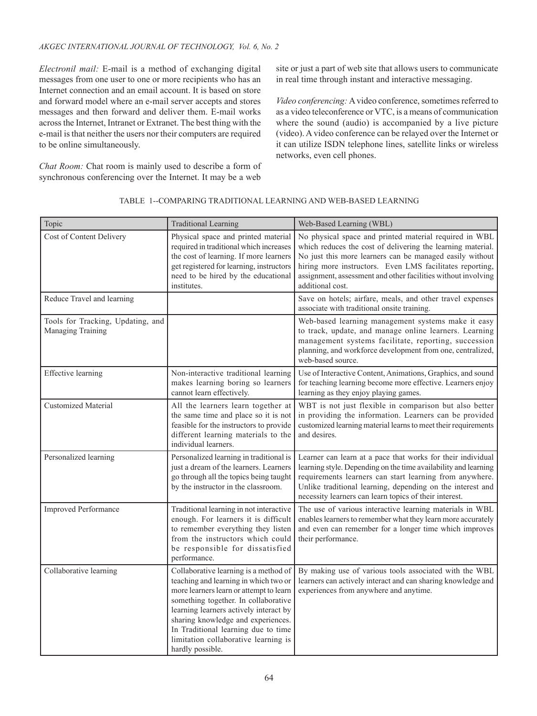*Electronil mail:* E-mail is a method of exchanging digital messages from one user to one or more recipients who has an Internet connection and an email account. It is based on store and forward model where an e-mail server accepts and stores messages and then forward and deliver them. E-mail works across the Internet, Intranet or Extranet. The best thing with the e-mail is that neither the users nor their computers are required to be online simultaneously.

*Chat Room:* Chat room is mainly used to describe a form of synchronous conferencing over the Internet. It may be a web

site or just a part of web site that allows users to communicate in real time through instant and interactive messaging.

*Video conferencing:* A video conference, sometimes referred to as a video teleconference or VTC, is a means of communication where the sound (audio) is accompanied by a live picture (video). A video conference can be relayed over the Internet or it can utilize ISDN telephone lines, satellite links or wireless networks, even cell phones.

| Topic                                                  | <b>Traditional Learning</b>                                                                                                                                                                                                                                                                                                                          | Web-Based Learning (WBL)                                                                                                                                                                                                                                                                                                           |
|--------------------------------------------------------|------------------------------------------------------------------------------------------------------------------------------------------------------------------------------------------------------------------------------------------------------------------------------------------------------------------------------------------------------|------------------------------------------------------------------------------------------------------------------------------------------------------------------------------------------------------------------------------------------------------------------------------------------------------------------------------------|
| Cost of Content Delivery                               | Physical space and printed material<br>required in traditional which increases<br>the cost of learning. If more learners<br>get registered for learning, instructors<br>need to be hired by the educational<br>institutes.                                                                                                                           | No physical space and printed material required in WBL<br>which reduces the cost of delivering the learning material.<br>No just this more learners can be managed easily without<br>hiring more instructors. Even LMS facilitates reporting,<br>assignment, assessment and other facilities without involving<br>additional cost. |
| Reduce Travel and learning                             |                                                                                                                                                                                                                                                                                                                                                      | Save on hotels; airfare, meals, and other travel expenses<br>associate with traditional onsite training.                                                                                                                                                                                                                           |
| Tools for Tracking, Updating, and<br>Managing Training |                                                                                                                                                                                                                                                                                                                                                      | Web-based learning management systems make it easy<br>to track, update, and manage online learners. Learning<br>management systems facilitate, reporting, succession<br>planning, and workforce development from one, centralized,<br>web-based source.                                                                            |
| <b>Effective</b> learning                              | Non-interactive traditional learning<br>makes learning boring so learners<br>cannot learn effectively.                                                                                                                                                                                                                                               | Use of Interactive Content, Animations, Graphics, and sound<br>for teaching learning become more effective. Learners enjoy<br>learning as they enjoy playing games.                                                                                                                                                                |
| <b>Customized Material</b>                             | All the learners learn together at<br>the same time and place so it is not<br>feasible for the instructors to provide<br>different learning materials to the<br>individual learners.                                                                                                                                                                 | WBT is not just flexible in comparison but also better<br>in providing the information. Learners can be provided<br>customized learning material learns to meet their requirements<br>and desires.                                                                                                                                 |
| Personalized learning                                  | Personalized learning in traditional is<br>just a dream of the learners. Learners<br>go through all the topics being taught<br>by the instructor in the classroom.                                                                                                                                                                                   | Learner can learn at a pace that works for their individual<br>learning style. Depending on the time availability and learning<br>requirements learners can start learning from anywhere.<br>Unlike traditional learning, depending on the interest and<br>necessity learners can learn topics of their interest.                  |
| <b>Improved Performance</b>                            | Traditional learning in not interactive<br>enough. For learners it is difficult<br>to remember everything they listen<br>from the instructors which could<br>be responsible for dissatisfied<br>performance.                                                                                                                                         | The use of various interactive learning materials in WBL<br>enables learners to remember what they learn more accurately<br>and even can remember for a longer time which improves<br>their performance.                                                                                                                           |
| Collaborative learning                                 | Collaborative learning is a method of<br>teaching and learning in which two or<br>more learners learn or attempt to learn<br>something together. In collaborative<br>learning learners actively interact by<br>sharing knowledge and experiences.<br>In Traditional learning due to time<br>limitation collaborative learning is<br>hardly possible. | By making use of various tools associated with the WBL<br>learners can actively interact and can sharing knowledge and<br>experiences from anywhere and anytime.                                                                                                                                                                   |

### TABLE 1--COMPARING TRADITIONAL LEARNING AND WEB-BASED LEARNING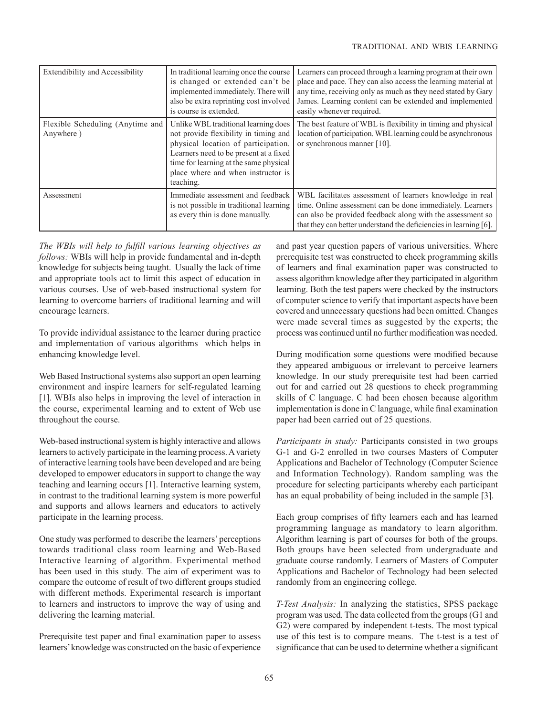| Extendibility and Accessibility               | In traditional learning once the course<br>is changed or extended can't be<br>implemented immediately. There will<br>also be extra reprinting cost involved<br>is course is extended.                                                                       | Learners can proceed through a learning program at their own<br>place and pace. They can also access the learning material at<br>any time, receiving only as much as they need stated by Gary<br>James. Learning content can be extended and implemented<br>easily whenever required. |
|-----------------------------------------------|-------------------------------------------------------------------------------------------------------------------------------------------------------------------------------------------------------------------------------------------------------------|---------------------------------------------------------------------------------------------------------------------------------------------------------------------------------------------------------------------------------------------------------------------------------------|
| Flexible Scheduling (Anytime and<br>Anywhere) | Unlike WBL traditional learning does<br>not provide flexibility in timing and<br>physical location of participation.<br>Learners need to be present at a fixed<br>time for learning at the same physical<br>place where and when instructor is<br>teaching. | The best feature of WBL is flexibility in timing and physical<br>location of participation. WBL learning could be asynchronous<br>or synchronous manner [10].                                                                                                                         |
| Assessment                                    | Immediate assessment and feedback<br>is not possible in traditional learning<br>as every thin is done manually.                                                                                                                                             | WBL facilitates assessment of learners knowledge in real<br>time. Online assessment can be done immediately. Learners<br>can also be provided feedback along with the assessment so<br>that they can better understand the deficiencies in learning [6].                              |

*The WBIs will help to fulfill various learning objectives as follows:* WBIs will help in provide fundamental and in-depth knowledge for subjects being taught. Usually the lack of time and appropriate tools act to limit this aspect of education in various courses. Use of web-based instructional system for learning to overcome barriers of traditional learning and will encourage learners.

To provide individual assistance to the learner during practice and implementation of various algorithms which helps in enhancing knowledge level.

Web Based Instructional systems also support an open learning environment and inspire learners for self-regulated learning [1]. WBIs also helps in improving the level of interaction in the course, experimental learning and to extent of Web use throughout the course.

Web-based instructional system is highly interactive and allows learners to actively participate in the learning process. A variety of interactive learning tools have been developed and are being developed to empower educators in support to change the way teaching and learning occurs [1]. Interactive learning system, in contrast to the traditional learning system is more powerful and supports and allows learners and educators to actively participate in the learning process.

One study was performed to describe the learners' perceptions towards traditional class room learning and Web-Based Interactive learning of algorithm. Experimental method has been used in this study. The aim of experiment was to compare the outcome of result of two different groups studied with different methods. Experimental research is important to learners and instructors to improve the way of using and delivering the learning material.

Prerequisite test paper and final examination paper to assess learners' knowledge was constructed on the basic of experience

and past year question papers of various universities. Where prerequisite test was constructed to check programming skills of learners and final examination paper was constructed to assess algorithm knowledge after they participated in algorithm learning. Both the test papers were checked by the instructors of computer science to verify that important aspects have been covered and unnecessary questions had been omitted. Changes were made several times as suggested by the experts; the process was continued until no further modification was needed.

During modification some questions were modified because they appeared ambiguous or irrelevant to perceive learners knowledge. In our study prerequisite test had been carried out for and carried out 28 questions to check programming skills of C language. C had been chosen because algorithm implementation is done in C language, while final examination paper had been carried out of 25 questions.

*Participants in study:* Participants consisted in two groups G-1 and G-2 enrolled in two courses Masters of Computer Applications and Bachelor of Technology (Computer Science and Information Technology). Random sampling was the procedure for selecting participants whereby each participant has an equal probability of being included in the sample [3].

Each group comprises of fifty learners each and has learned programming language as mandatory to learn algorithm. Algorithm learning is part of courses for both of the groups. Both groups have been selected from undergraduate and graduate course randomly. Learners of Masters of Computer Applications and Bachelor of Technology had been selected randomly from an engineering college.

*T-Test Analysis:* In analyzing the statistics, SPSS package program was used. The data collected from the groups (G1 and G2) were compared by independent t-tests. The most typical use of this test is to compare means. The t-test is a test of significance that can be used to determine whether a significant